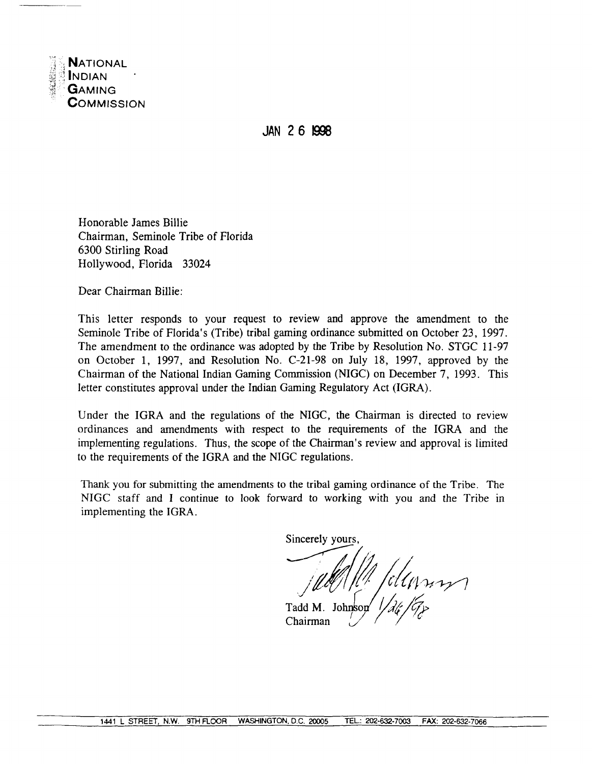

JAN 26 1998

Honorable James Billie Chairman, Seminole Tribe of Florida 6300 Stirling Road Hollywood, Florida 33024

Dear Chairman Billie:

This letter responds to your request to review and approve the amendment to the Seminole Tribe of Florida's (Tribe) tribal gaming ordinance submitted on October 23, 1997. The amendment to the ordinance was adopted by the Tribe by Resolution No. STGC 11-97 on October 1, 1997, and Resolution No. C-21-98 on July 18, 1997, approved by the Chairman of the National Indian Gaming Commission (NIGC) on December 7, 1993. This letter constitutes approval under the Indian Gaming Regulatory Act (IGRA).

Under the IGRA and the regulations of the NIGC, the Chairman is directed to review ordinances and amendments with respect to the requirements of the IGRA and the implementing regulations. Thus, the scope of the Chairman's review and approval is limited to the requirements of the IGRA and the NIGC regulations.

Thank you for submitting the amendments to the tribal gaming ordinance of the Tribe. The NIGC staff and I continue to look forward to working with you and the Tribe in implementing the IGRA.

Sincerely yours

Umm

Tadd M. Johnson Chairman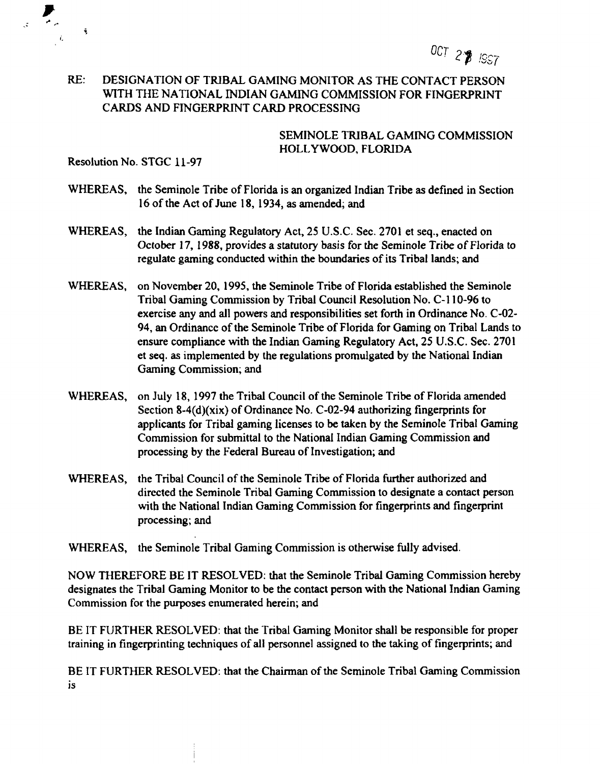**OCT 2~ !9~~**

## **RE: DESIGNATION OF TRIBAL GAMING MONITOR AS THE CONTACT PERSON WITH THE NATIONAL INDIAN GAMING COMMISSION FOR FINGERPRINT CARDS AND FINGERPRINT CARD PROCESSING**

#### **SEMINOLE TRIBAL GAMING COMMISSION HOLLYWOOD, FLORIDA**

**Resolution No. STGC 11-97**

 $\tilde{\mathbf{v}}$ 

- **WHEREAS, the Seminole Tribe of Florida is an organized Indian Tribe as defined in Section l6of the Act ofiune 18, 1934, asamended; and**
- **WHEREAS,** the Indian Gaming Regulatory Act, 25 U.S.C. Sec. 2701 et seq., enacted on **October 17, 1988, provides a statutory basis for the Seminole Tribe of Florida to regulate gaming conducted within the boundaries of its Tribal lands; and**
- **WHEREAS, on November 20, 1995, the Seminole Tribe of Florida established the Seminole Tribal Gaming Commission by Tribal Council Resolution No. C-I 10-96 to exercise any and all powers and responsibilities set forth in Ordinance No. C-02- 94, an Ordinance of the Seminole Tribe of Florida for Gaming on Tribal Lands to ensure compliance with the Indian Gaming Regulatory Act, 25 U.S.C. Sec. 2701 et seq. as implemented by the regulations promulgated by the National Indian Gaming Commission; and**
- **WHEREAS, on July 18, 1997 the Tribal Council of the Seminole Tribe of Florida amended Section 8-4(d)(xix) of Ordinance No. C-02-94 authorizing fingerprints for applicants for Tribal gaming licenses to be taken by the Seminole Tribal Gaming Commission for submittal to the National Indian Gaming Commission and processing by the Federal Bureau of Investigation; and**
- **WHEREAS, the Tribal Council of the Seminole Tribe of Florida further authorized and directed the Seminole Tribal Gaming Commission to designate <sup>a</sup> contact person with the National Indian Gaming Commission for fingerprints and fingerprint processing; and**

**WHEREAS, the Seminole Tribal Gaming Commission is otherwise fully advised.**

**NOW THEREFORE BE IT RESOLVED: that the Seminole Tribal Gaming Commission hereby designates the Tribal Gaming Monitor to be the contact person with the National Indian Gaming Commission for the purposes enumerated herein; and**

**BE IT FURTHER RESOLVED: that the Tribal Gaming Monitor shall be responsible for proper training in fingerprinting techniques of all personnel assigned to the taking of fingerprints; and**

**BE IT FURTHER RESOLVED: that the Chairman of the Seminole Tribal Gaming Commission is**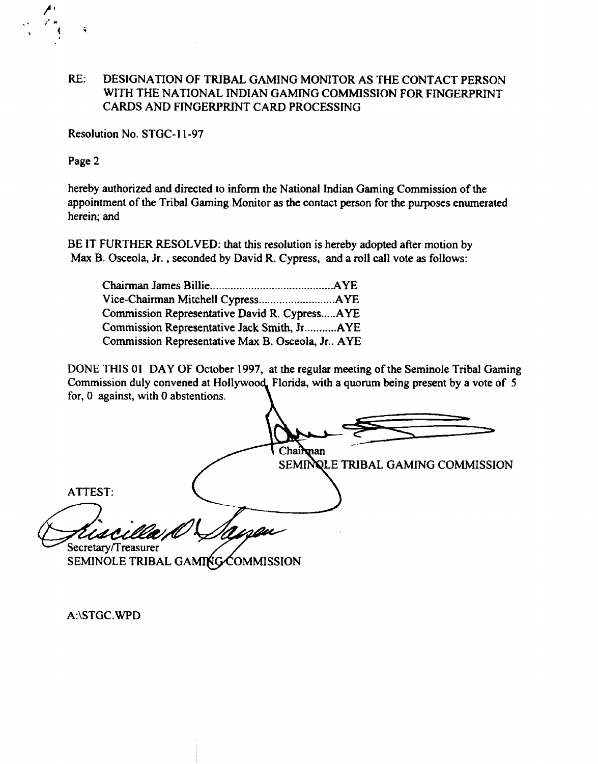## **RE: DESIGNATION OF TRIBAL GAMING MONITOR AS THE CONTACT PERSON WITH THE NATIONAL INDIAN GAMING COMMISSION FOR FINGERPRINT CARDS AND FINGERPRINT CARD PROCESSING**

**Resolution No. STGC- 11-97**

**Page 2**

**hereby authorized and directed to inform the National Indian Gaming Commission of the appointment of the Tribal Gaming Monitor as the contact person for the purposes enumerated herein; and**

**BE IT FURTHER RESOLVED: that this resolution is hereby adopted after motion by Max B. Osceola, Jr. , seconded by David R. Cypress, and a roll call vote as follows:**

| Commission Representative David R. CypressAYE    |  |
|--------------------------------------------------|--|
| Commission Representative Jack Smith, JrAYE      |  |
| Commission Representative Max B. Osceola, Jr AYE |  |

**DONE THIS <sup>01</sup> DAY OF October 1997, at the regular meeting of the Seminole Tribal Gaming Commission duly convened at Hollywood. Florida, with <sup>a</sup> quorum being present by <sup>a</sup> vote of <sup>5</sup> for, 0 against, with 0 abstentions.**

Chairman **TRIBAL GAMING COMMISSION ATTEST: Secretary/Treasurer** SEMINOLE TRIBAL GAMING COMMISSION

**A:\STGC.WPD**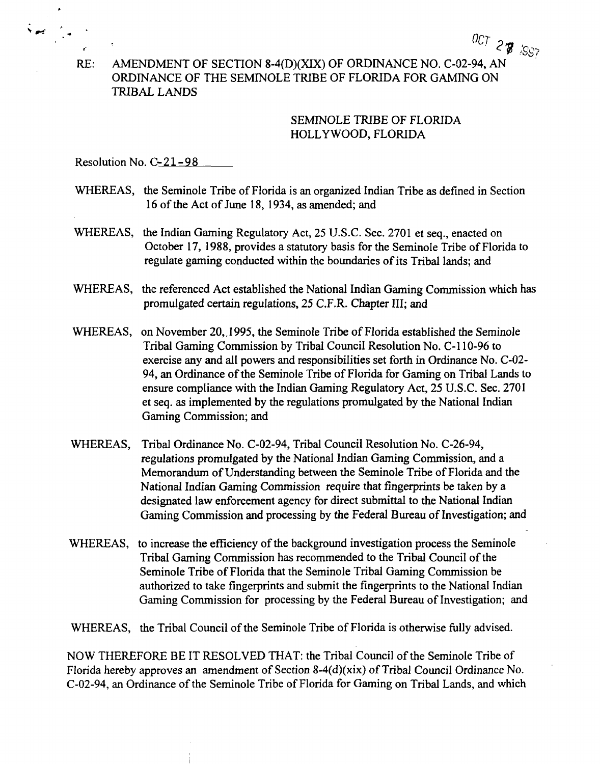**RE: AMENDMENT OF SECTION 8-4(D)(XIX) OF ORDINANCE NO. C-02-94, AN ORDINANCE OF THE SEMINOLE TRIBE OF FLORIDA FOR GAMING ON TRIBAL LANDS**

## **SEMINOLE TRIBE OF FLORIDA HOLLYWOOD, FLORIDA**

**OC7~~**

**~I**

**Resolution No. C-21-98**

- **WHEREAS, the Seminole Tribe of Florida is an organized Indian Tribe as defined in Section 16 of the Act of June 18, 1934, as amended; and**
- **WHEREAS, the Indian Gaming Regulatory Act, <sup>25</sup> U.S.C. Sec. <sup>2701</sup> et seq., enacted on October 17, 1988, provides a statutory basis for the Seminole Tribe of Florida to regulate gaming conducted within the boundaries of its Tribal lands; and**
- **WHEREAS, the referenced Act established the National Indian Gaming Commission which has promulgated certain regulations, 25 C.F.R. Chapter III; and**
- **WHEREAS, on November 20,.1995, the Seminole Tribe of Florida established the Seminole Tribal Gaming Commission by Tribal Council Resolution No. C-110-96 to exercise any and all powers and responsibilities set forth in Ordinance No. C-02- 94, an Ordinance of the Seminole Tribe of Florida for Gaming on Tribal Lands to ensure compliance with the Indian Gaming Regulatory Act, 25 U.S.C. Sec. 2701 et seq. as implemented by the regulations promulgated by the National Indian Gaming Commission; and**
- **WHEREAS, Tribal Ordinance No. C-02-94, Tribal Council Resolution No. C-26-94, regulations promulgated by the National Indian Gaming Commission, and <sup>a</sup> Memorandum of Understanding between the Seminole Tribe of Florida and the National Indian Gaming Commission require that fingerprints be taken by <sup>a</sup> designated law enforcement agency for direct submittal to the National Indian Gaming Commission and processing by the Federal Bureau of Investigation; and**
- **WHEREAS, to increase the efficiency of the background investigation process the Seminole Tribal Gaming Commission has recommended to the Tribal Council of the Seminole Tribe of Florida that the Seminole Tribal Gaming Commission be authorized to take fingerprints and submit the fingerprints to the National Indian Gaming Commission for processing by the Federal Bureau of Investigation; and**

**WHEREAS, the Tribal Council of the Seminole Tribe of Florida is otherwise fully advised.**

**NOW THEREFORE BE IT RESOLVED THAT: the Tribal Council of the Seminole Tribe of Florida hereby approves an amendment of Section 8-4(d)(xix) of Tribal Council Ordinance No. C-02-94, an Ordinance of the Seminole Tribe of Florida for Gaming on Tribal Lands, and which**

**.4**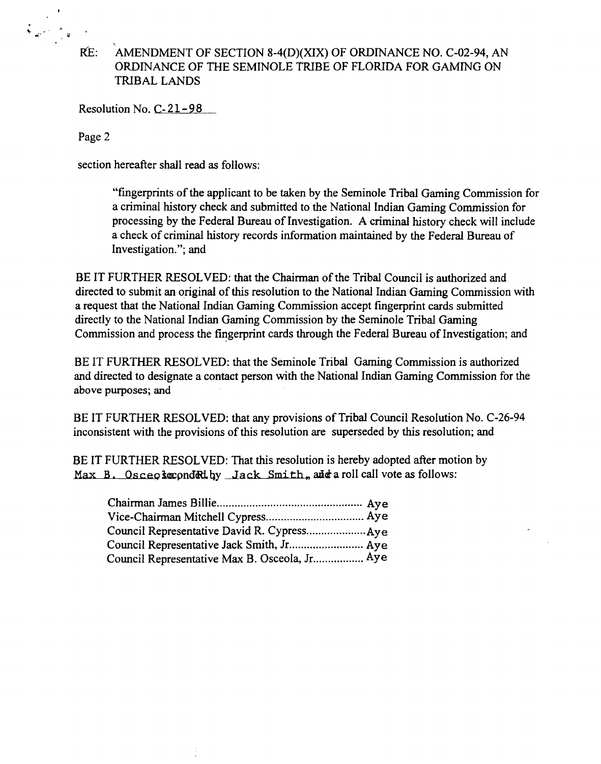# **I~E: AMENDMENT OF SECTION 8-4(D)(XIX) OF ORDINANCE NO. C-02-94, AN ORDINANCE OF ThE SEMINOLE TRIBE OF FLORIDA FOR GAMING ON TRIBAL LANDS**

**Resolution No. C-21-98**

**Page 2**

**section hereafter shall read as follows:**

**fingerprints of the applicant to be taken by the Seminole Tribal Gaming Commission for <sup>a</sup> criminal history check and submitted to the National Indian Gaming Commission for processing by the Federal Bureau of Investigation. A criminal history check will include <sup>a</sup> check of criminal history records information maintained by the Federal Bureau of Investigation.; and**

**BE IT FURTHER RESOLVED: that the Chairman of the Tribal Council is authorized and directed to submit an original of this resolution to the National Indian Gaming Commission with <sup>a</sup> request that the National Indian Gaming Commission accept fmgerprint cards submitted directly to the National Indian Gaming Commission by the Seminole Tribal Gaming Commission and process the fingerprint cards through the Federal Bureau of Investigation; and**

**BE IT FURTHER RESOLVED: that the Seminole Tribal Gaming Commission is authorized and directed to designate <sup>a</sup> contact person with the National Indian Gaming Commission for the above purposes; and**

**BE IT FURTHER RESOLVED: that any provisions of Tribal Council Resolution No. C-26-94 inconsistent with the provisions of this resolution are superseded by this resolution; and**

**BE IT FURTHER RESOLVED: That this resolution is hereby adopted after motion by ~Max B. Osceç ~pnd~iby jack Smith, aªEa roll call vote as follows:**

| Council Representative Max B. Osceola, Jr Aye |  |
|-----------------------------------------------|--|